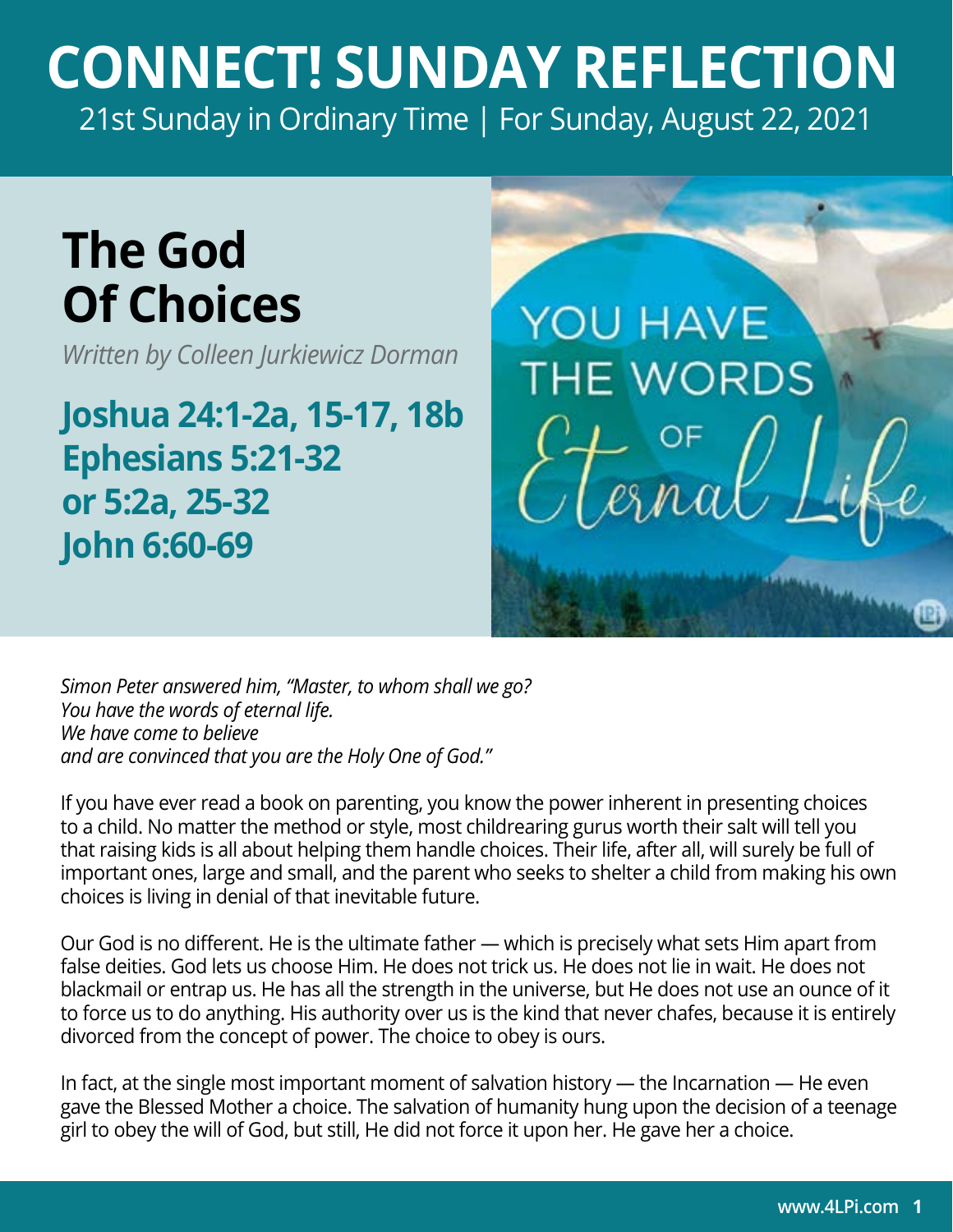## **CONNECT! SUNDAY REFLECTION** [21st Sunday in Ordinary Time | For Sunday, August 22, 2021](https://bible.usccb.org/bible/readings/082221.cfm)

## **The God Of Choices**

*Written by Colleen Jurkiewicz Dorman*

**Joshua 24:1-2a, 15-17, 18b Ephesians 5:21-32 or 5:2a, 25-32 John 6:60-69**

**YOU HAVE THE WORDS** 

*Simon Peter answered him, "Master, to whom shall we go? You have the words of eternal life. We have come to believe and are convinced that you are the Holy One of God."* 

If you have ever read a book on parenting, you know the power inherent in presenting choices to a child. No matter the method or style, most childrearing gurus worth their salt will tell you that raising kids is all about helping them handle choices. Their life, after all, will surely be full of important ones, large and small, and the parent who seeks to shelter a child from making his own choices is living in denial of that inevitable future.

Our God is no different. He is the ultimate father — which is precisely what sets Him apart from false deities. God lets us choose Him. He does not trick us. He does not lie in wait. He does not blackmail or entrap us. He has all the strength in the universe, but He does not use an ounce of it to force us to do anything. His authority over us is the kind that never chafes, because it is entirely divorced from the concept of power. The choice to obey is ours.

In fact, at the single most important moment of salvation history — the Incarnation — He even gave the Blessed Mother a choice. The salvation of humanity hung upon the decision of a teenage girl to obey the will of God, but still, He did not force it upon her. He gave her a choice.